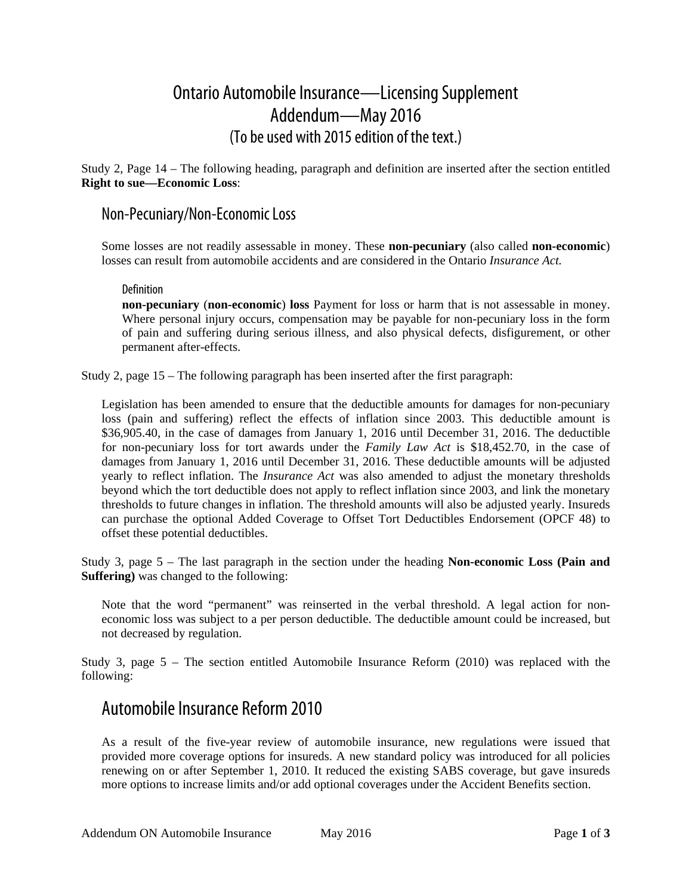# Ontario Automobile Insurance—Licensing Supplement Addendum—May 2016 (To be used with 2015 edition of the text.)

Study 2, Page 14 – The following heading, paragraph and definition are inserted after the section entitled **Right to sue—Economic Loss**:

### Non-Pecuniary/Non-Economic Loss

Some losses are not readily assessable in money. These **non-pecuniary** (also called **non-economic**) losses can result from automobile accidents and are considered in the Ontario *Insurance Act.* 

#### Definition

**non-pecuniary** (**non-economic**) **loss** Payment for loss or harm that is not assessable in money. Where personal injury occurs, compensation may be payable for non-pecuniary loss in the form of pain and suffering during serious illness, and also physical defects, disfigurement, or other permanent after-effects.

Study 2, page 15 – The following paragraph has been inserted after the first paragraph:

Legislation has been amended to ensure that the deductible amounts for damages for non-pecuniary loss (pain and suffering) reflect the effects of inflation since 2003. This deductible amount is \$36,905.40, in the case of damages from January 1, 2016 until December 31, 2016. The deductible for non-pecuniary loss for tort awards under the *Family Law Act* is \$18,452.70, in the case of damages from January 1, 2016 until December 31, 2016. These deductible amounts will be adjusted yearly to reflect inflation. The *Insurance Act* was also amended to adjust the monetary thresholds beyond which the tort deductible does not apply to reflect inflation since 2003, and link the monetary thresholds to future changes in inflation. The threshold amounts will also be adjusted yearly. Insureds can purchase the optional Added Coverage to Offset Tort Deductibles Endorsement (OPCF 48) to offset these potential deductibles.

Study 3, page 5 – The last paragraph in the section under the heading **Non-economic Loss (Pain and Suffering)** was changed to the following:

Note that the word "permanent" was reinserted in the verbal threshold. A legal action for noneconomic loss was subject to a per person deductible. The deductible amount could be increased, but not decreased by regulation.

Study 3, page 5 – The section entitled Automobile Insurance Reform (2010) was replaced with the following:

### Automobile Insurance Reform 2010

As a result of the five-year review of automobile insurance, new regulations were issued that provided more coverage options for insureds. A new standard policy was introduced for all policies renewing on or after September 1, 2010. It reduced the existing SABS coverage, but gave insureds more options to increase limits and/or add optional coverages under the Accident Benefits section.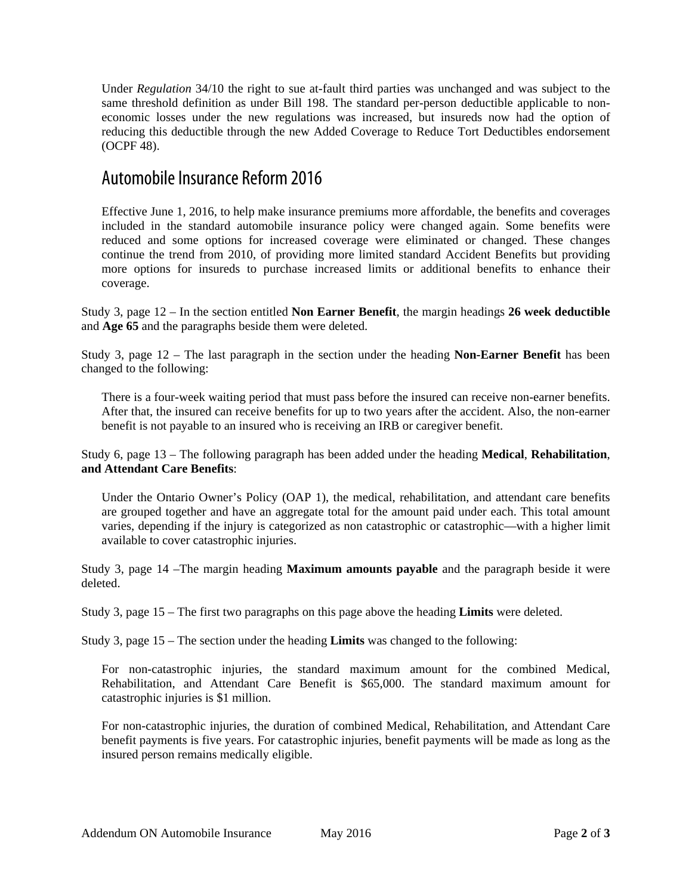Under *Regulation* 34/10 the right to sue at-fault third parties was unchanged and was subject to the same threshold definition as under Bill 198. The standard per-person deductible applicable to noneconomic losses under the new regulations was increased, but insureds now had the option of reducing this deductible through the new Added Coverage to Reduce Tort Deductibles endorsement (OCPF 48).

## Automobile Insurance Reform 2016

Effective June 1, 2016, to help make insurance premiums more affordable, the benefits and coverages included in the standard automobile insurance policy were changed again. Some benefits were reduced and some options for increased coverage were eliminated or changed. These changes continue the trend from 2010, of providing more limited standard Accident Benefits but providing more options for insureds to purchase increased limits or additional benefits to enhance their coverage.

Study 3, page 12 – In the section entitled **Non Earner Benefit**, the margin headings **26 week deductible**  and **Age 65** and the paragraphs beside them were deleted.

Study 3, page 12 – The last paragraph in the section under the heading **Non-Earner Benefit** has been changed to the following:

There is a four-week waiting period that must pass before the insured can receive non-earner benefits. After that, the insured can receive benefits for up to two years after the accident. Also, the non-earner benefit is not payable to an insured who is receiving an IRB or caregiver benefit.

Study 6, page 13 – The following paragraph has been added under the heading **Medical**, **Rehabilitation**, **and Attendant Care Benefits**:

Under the Ontario Owner's Policy (OAP 1), the medical, rehabilitation, and attendant care benefits are grouped together and have an aggregate total for the amount paid under each. This total amount varies, depending if the injury is categorized as non catastrophic or catastrophic—with a higher limit available to cover catastrophic injuries.

Study 3, page 14 –The margin heading **Maximum amounts payable** and the paragraph beside it were deleted.

Study 3, page 15 – The first two paragraphs on this page above the heading **Limits** were deleted.

Study 3, page 15 – The section under the heading **Limits** was changed to the following:

For non-catastrophic injuries, the standard maximum amount for the combined Medical, Rehabilitation, and Attendant Care Benefit is \$65,000. The standard maximum amount for catastrophic injuries is \$1 million.

For non-catastrophic injuries, the duration of combined Medical, Rehabilitation, and Attendant Care benefit payments is five years. For catastrophic injuries, benefit payments will be made as long as the insured person remains medically eligible.